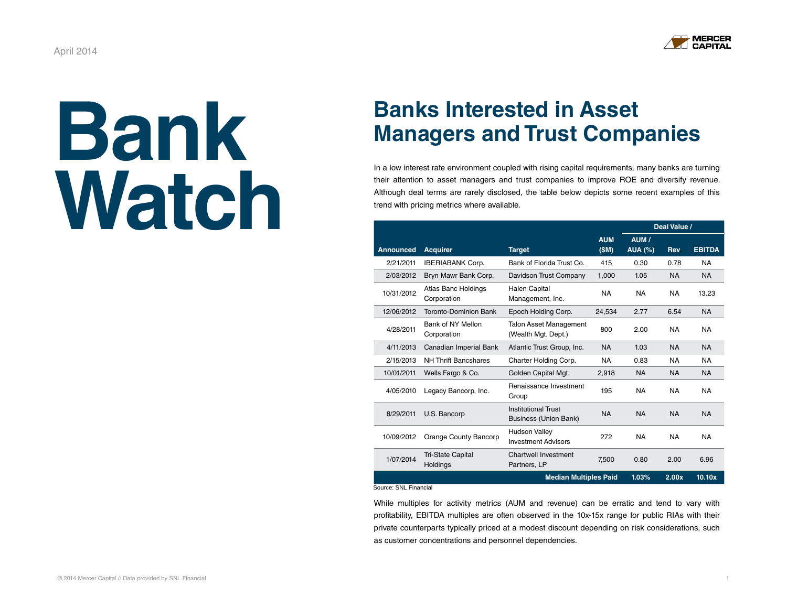

# **Bank [Watch](http://mercercapital.com/insights/newsletters/bank-watch/)**

### **Banks Interested in Asset Managers and Trust Companies**

In a low interest rate environment coupled with rising capital requirements, many banks are turning their attention to asset managers and trust companies to improve ROE and diversify revenue. Although deal terms are rarely disclosed, the table below depicts some recent examples of this trend with pricing metrics where available.

|                  |                                             |                                                            |                    | Deal Value /            |            |               |
|------------------|---------------------------------------------|------------------------------------------------------------|--------------------|-------------------------|------------|---------------|
| <b>Announced</b> | <b>Acquirer</b>                             | <b>Target</b>                                              | <b>AUM</b><br>(SM) | AUM /<br><b>AUA (%)</b> | <b>Rev</b> | <b>EBITDA</b> |
| 2/21/2011        | <b>IBERIABANK Corp.</b>                     | Bank of Florida Trust Co.                                  | 415                | 0.30                    | 0.78       | <b>NA</b>     |
| 2/03/2012        | Bryn Mawr Bank Corp.                        | Davidson Trust Company                                     | 1.000              | 1.05                    | <b>NA</b>  | <b>NA</b>     |
| 10/31/2012       | Atlas Banc Holdings<br>Corporation          | <b>Halen Capital</b><br>Management, Inc.                   | <b>NA</b>          | <b>NA</b>               | <b>NA</b>  | 13.23         |
| 12/06/2012       | <b>Toronto-Dominion Bank</b>                | Epoch Holding Corp.                                        | 24,534             | 2.77                    | 6.54       | <b>NA</b>     |
| 4/28/2011        | Bank of NY Mellon<br>Corporation            | <b>Talon Asset Management</b><br>(Wealth Mgt. Dept.)       |                    | 2.00                    | NA.        | <b>NA</b>     |
| 4/11/2013        | Canadian Imperial Bank                      | Atlantic Trust Group, Inc.                                 | <b>NA</b>          | 1.03                    | <b>NA</b>  | <b>NA</b>     |
| 2/15/2013        | <b>NH Thrift Bancshares</b>                 | Charter Holding Corp.                                      | <b>NA</b>          | 0.83                    | <b>NA</b>  | <b>NA</b>     |
| 10/01/2011       | Wells Fargo & Co.                           | Golden Capital Mgt.                                        | 2,918              | <b>NA</b>               | <b>NA</b>  | <b>NA</b>     |
| 4/05/2010        | Legacy Bancorp, Inc.                        | Renaissance Investment<br>Group                            | 195                | <b>NA</b>               | <b>NA</b>  | <b>NA</b>     |
| 8/29/2011        | U.S. Bancorp                                | <b>Institutional Trust</b><br><b>Business (Union Bank)</b> | <b>NA</b>          | <b>NA</b>               | <b>NA</b>  | <b>NA</b>     |
| 10/09/2012       | Orange County Bancorp                       | <b>Hudson Valley</b><br><b>Investment Advisors</b>         | 272                | NA.                     | <b>NA</b>  | NA.           |
| 1/07/2014        | <b>Tri-State Capital</b><br><b>Holdings</b> | Chartwell Investment<br>Partners, LP                       | 7.500              | 0.80                    | 2.00       | 6.96          |
|                  | <b>Median Multiples Paid</b>                |                                                            |                    |                         | 2.00x      | 10.10x        |

Source: SNL Financial

While multiples for activity metrics (AUM and revenue) can be erratic and tend to vary with profitability, EBITDA multiples are often observed in the 10x-15x range for public RIAs with their private counterparts typically priced at a modest discount depending on risk considerations, such as customer concentrations and personnel dependencies.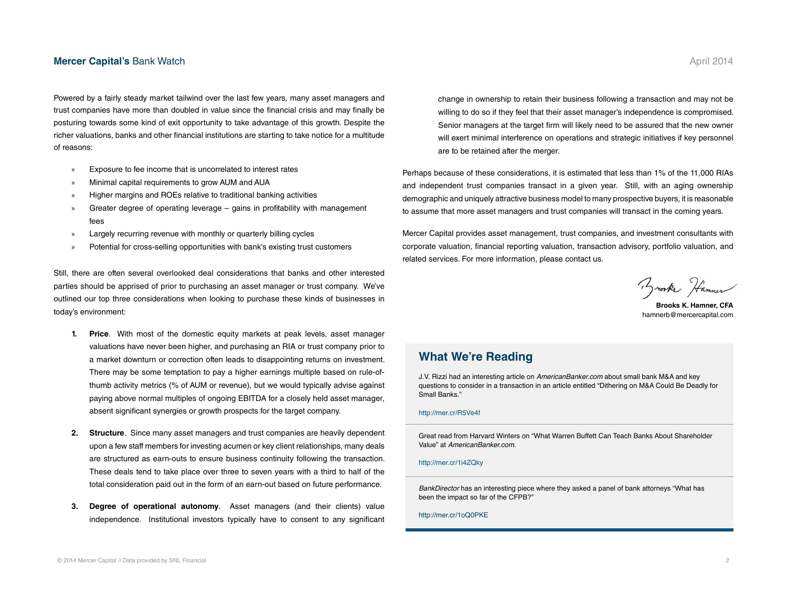#### **[Mercer Capital's](http://mercercapital.com/insights/newsletters/bank-watch/) Bank Watch April 2014 April 2014 April 2014**

Powered by a fairly steady market tailwind over the last few years, many asset managers and trust companies have more than doubled in value since the financial crisis and may finally be posturing towards some kind of exit opportunity to take advantage of this growth. Despite the richer valuations, banks and other financial institutions are starting to take notice for a multitude of reasons:

- Exposure to fee income that is uncorrelated to interest rates
- » Minimal capital requirements to grow AUM and AUA
- » Higher margins and ROEs relative to traditional banking activities
- » Greater degree of operating leverage gains in profitability with management fees
- Largely recurring revenue with monthly or quarterly billing cycles
- Potential for cross-selling opportunities with bank's existing trust customers

Still, there are often several overlooked deal considerations that banks and other interested parties should be apprised of prior to purchasing an asset manager or trust company. We've outlined our top three considerations when looking to purchase these kinds of businesses in today's environment:

- **1. Price**. With most of the domestic equity markets at peak levels, asset manager valuations have never been higher, and purchasing an RIA or trust company prior to a market downturn or correction often leads to disappointing returns on investment. There may be some temptation to pay a higher earnings multiple based on rule-ofthumb activity metrics (% of AUM or revenue), but we would typically advise against paying above normal multiples of ongoing EBITDA for a closely held asset manager, absent significant synergies or growth prospects for the target company.
- **2. Structure**. Since many asset managers and trust companies are heavily dependent upon a few staff members for investing acumen or key client relationships, many deals are structured as earn-outs to ensure business continuity following the transaction. These deals tend to take place over three to seven years with a third to half of the total consideration paid out in the form of an earn-out based on future performance.
- **3. Degree of operational autonomy**. Asset managers (and their clients) value independence. Institutional investors typically have to consent to any significant

change in ownership to retain their business following a transaction and may not be willing to do so if they feel that their asset manager's independence is compromised. Senior managers at the target firm will likely need to be assured that the new owner will exert minimal interference on operations and strategic initiatives if key personnel are to be retained after the merger.

Perhaps because of these considerations, it is estimated that less than 1% of the 11,000 RIAs and independent trust companies transact in a given year. Still, with an aging ownership demographic and uniquely attractive business model to many prospective buyers, it is reasonable to assume that more asset managers and trust companies will transact in the coming years.

Mercer Capital provides asset management, trust companies, and investment consultants with corporate valuation, financial reporting valuation, transaction advisory, portfolio valuation, and related services. For more information, please contact us.

Brooks Hammer

**Brooks K. Hamner, CFA** hamnerb@mercercapital.com

#### **What We're Reading**

J.V. Rizzi had an interesting article on *AmericanBanker.com* about small bank M&A and key questions to consider in a transaction in an article entitled "Dithering on M&A Could Be Deadly for Small Banks."

#### http://mer.cr/R5Ve4f

Great read from Harvard Winters on "What Warren Buffett Can Teach Banks About Shareholder Value" at *AmericanBanker.com*.

#### http://mer.cr/1i4ZQky

*BankDirector* has an interesting piece where they asked a panel of bank attorneys "What has been the impact so far of the CFPB?"

http://mer.cr/1oQ0PKE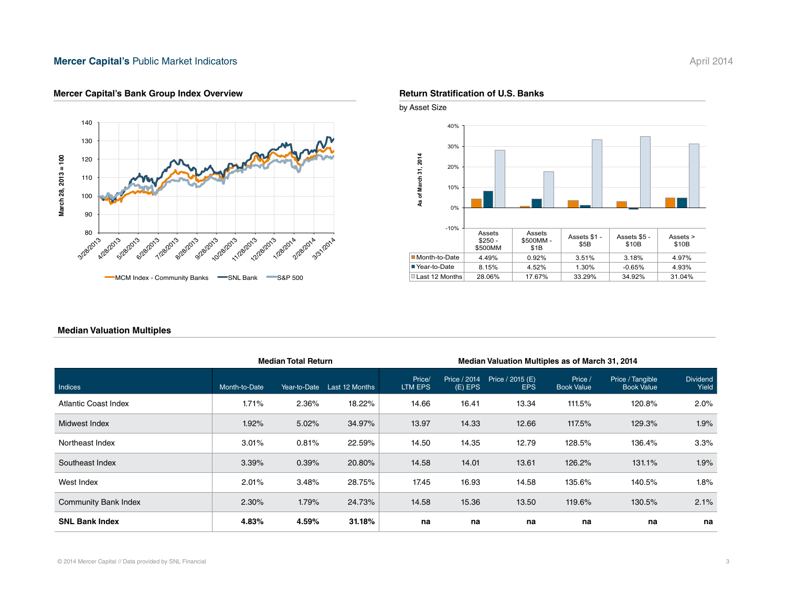#### **Mercer Capital's [Public Market Indicators](http://mercercapital.com/insights/newsletters/bank-watch/) April 2014**



#### **Mercer Capital's Bank Group Index Overview <b>Return Stratification of U.S. Banks Return Stratification of U.S. Banks**





#### **Median Valuation Multiples**

|                             | <b>Median Total Return</b> |              |                | Median Valuation Multiples as of March 31, 2014 |                           |                                |                              |                                       |                          |  |
|-----------------------------|----------------------------|--------------|----------------|-------------------------------------------------|---------------------------|--------------------------------|------------------------------|---------------------------------------|--------------------------|--|
| Indices                     | Month-to-Date              | Year-to-Date | Last 12 Months | Price/<br>LTM EPS                               | Price / 2014<br>$(E)$ EPS | Price / 2015 (E)<br><b>EPS</b> | Price /<br><b>Book Value</b> | Price / Tangible<br><b>Book Value</b> | <b>Dividend</b><br>Yield |  |
| Atlantic Coast Index        | 1.71%                      | 2.36%        | 18.22%         | 14.66                                           | 16.41                     | 13.34                          | 111.5%                       | 120.8%                                | $2.0\%$                  |  |
| Midwest Index               | 1.92%                      | 5.02%        | 34.97%         | 13.97                                           | 14.33                     | 12.66                          | 117.5%                       | 129.3%                                | 1.9%                     |  |
| Northeast Index             | 3.01%                      | 0.81%        | 22.59%         | 14.50                                           | 14.35                     | 12.79                          | 128.5%                       | 136.4%                                | 3.3%                     |  |
| Southeast Index             | 3.39%                      | 0.39%        | 20.80%         | 14.58                                           | 14.01                     | 13.61                          | 126.2%                       | 131.1%                                | 1.9%                     |  |
| West Index                  | 2.01%                      | 3.48%        | 28.75%         | 17.45                                           | 16.93                     | 14.58                          | 135.6%                       | 140.5%                                | 1.8%                     |  |
| <b>Community Bank Index</b> | 2.30%                      | 1.79%        | 24.73%         | 14.58                                           | 15.36                     | 13.50                          | 119.6%                       | 130.5%                                | 2.1%                     |  |
| <b>SNL Bank Index</b>       | 4.83%                      | 4.59%        | 31.18%         | na                                              | na                        | na                             | na                           | na                                    | na                       |  |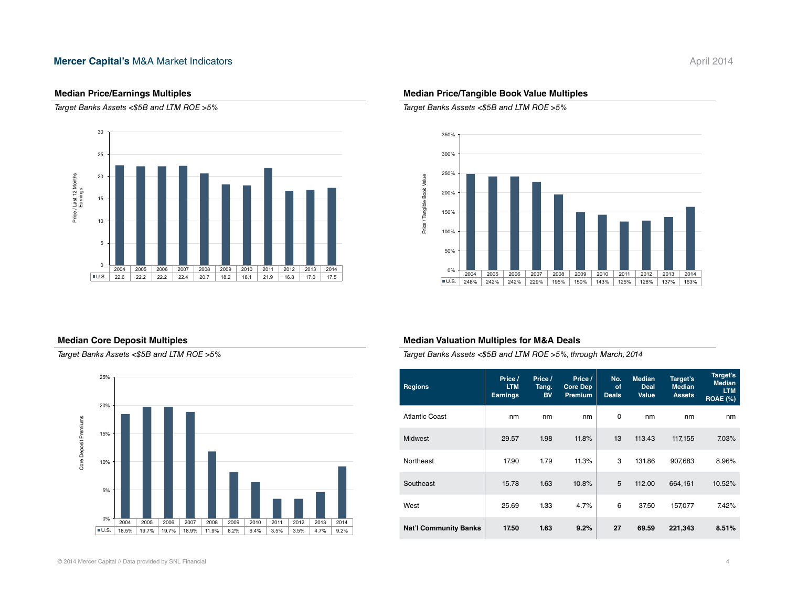#### **Mercer Capital's [M&A Market Indicators](http://mercercapital.com/insights/newsletters/bank-watch/)** April 2014

#### **Median Price/Earnings Multiples**

*Target Banks Assets <\$5B and LTM ROE >5%*



#### **Median Core Deposit Multiples**

*Target Banks Assets <\$5B and LTM ROE >5%*



#### **Median Price/Tangible Book Value Multiples**

*Target Banks Assets <\$5B and LTM ROE >5%*



#### **Median Valuation Multiples for M&A Deals**

*Target Banks Assets <\$5B and LTM ROE >5%, through March, 2014*

| <b>Regions</b>               | Price /<br><b>LTM</b><br><b>Earnings</b> | Price /<br>Tang.<br><b>BV</b> | Price /<br>Core Dep<br>Premium | No.<br>of<br><b>Deals</b> | <b>Median</b><br><b>Deal</b><br><b>Value</b> | Target's<br><b>Median</b><br><b>Assets</b> | Target's<br><b>Median</b><br><b>LTM</b><br><b>ROAE (%)</b> |
|------------------------------|------------------------------------------|-------------------------------|--------------------------------|---------------------------|----------------------------------------------|--------------------------------------------|------------------------------------------------------------|
| Atlantic Coast               | nm                                       | nm                            | nm                             | 0                         | nm                                           | nm                                         | nm                                                         |
| Midwest                      | 29.57                                    | 1.98                          | 11.8%                          | 13                        | 113.43                                       | 117,155                                    | 7.03%                                                      |
| Northeast                    | 17.90                                    | 1.79                          | 11.3%                          | 3                         | 131.86                                       | 907,683                                    | 8.96%                                                      |
| Southeast                    | 15.78                                    | 1.63                          | 10.8%                          | 5                         | 112.00                                       | 664,161                                    | 10.52%                                                     |
| West                         | 25.69                                    | 1.33                          | 4.7%                           | 6                         | 37.50                                        | 157,077                                    | 7.42%                                                      |
| <b>Nat'l Community Banks</b> | 17.50                                    | 1.63                          | 9.2%                           | 27                        | 69.59                                        | 221,343                                    | 8.51%                                                      |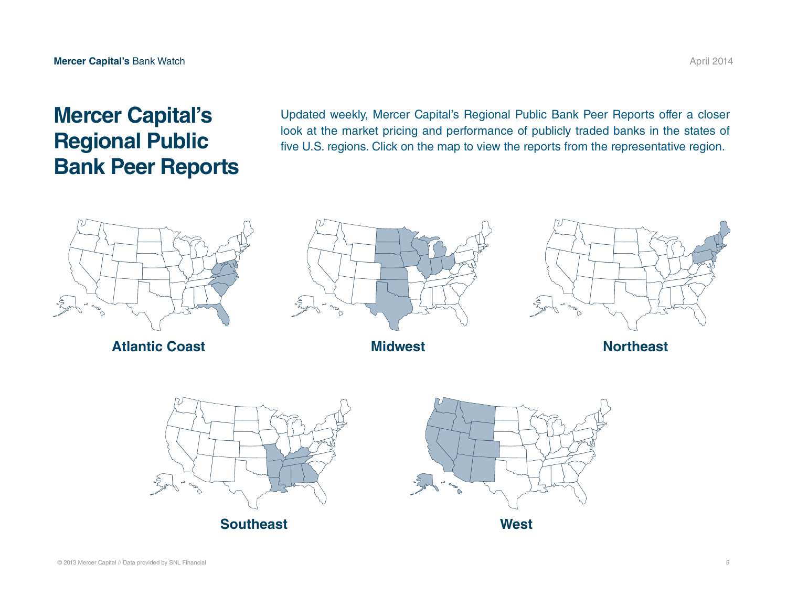## **Mercer Capital's Regional Public Bank Peer Reports**

Updated weekly, Mercer Capital's Regional Public Bank Peer Reports offer a closer look at the market pricing and performance of publicly traded banks in the states of five U.S. regions. Click on the map to view the reports from the representative region.



**[Atlantic Coast](http://mercercapital.com/insights/rbprs/rbpr-ac/) [Midwest](http://mercercapital.com/insights/rbprs/rbpr-mw/)**







**[Northeast](http://mercercapital.com/insights/rbprs/rbpr-ne/)**





**[West](http://mercercapital.com/insights/rbprs/rbpr-w/)**